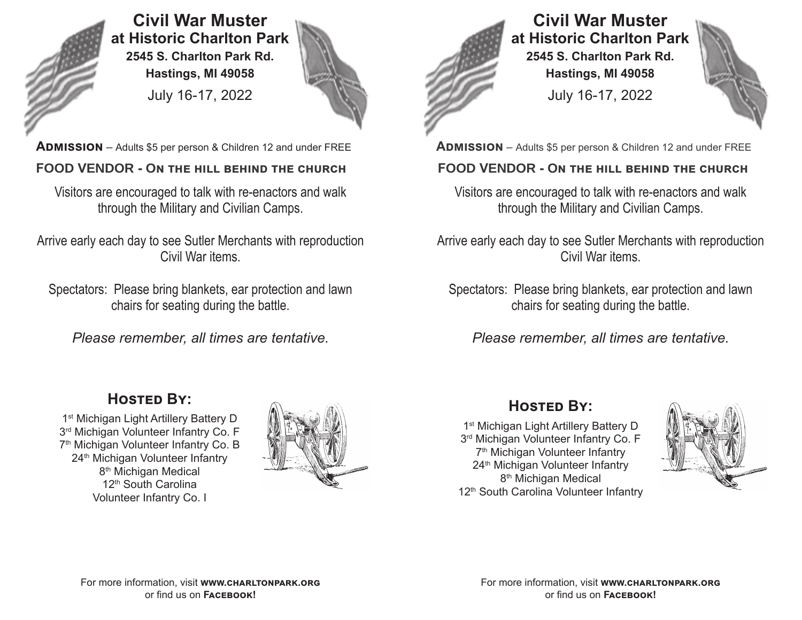

**Civil War Muster at Historic Charlton Park 2545 S. Charlton Park Rd. Hastings, MI 49058** July 16-17, 2022



**ADMISSION** – Adults \$5 per person & Children 12 and under FREE **ADMISSION** – Adults \$5 per person & Children 12 and under FREE

## **FOOD VENDOR - On the hill behind the church FOOD VENDOR - On the hill behind the church**

Visitors are encouraged to talk with re-enactors and walk through the Military and Civilian Camps.

Arrive early each day to see Sutler Merchants with reproduction Civil War items.

Spectators: Please bring blankets, ear protection and lawn chairs for seating during the battle.

*Please remember, all times are tentative.*

# **Hosted By:**

1 st Michigan Light Artillery Battery D 3 rd Michigan Volunteer Infantry Co. F 7 th Michigan Volunteer Infantry Co. B 24<sup>th</sup> Michigan Volunteer Infantry 8<sup>th</sup> Michigan Medical 12<sup>th</sup> South Carolina Volunteer Infantry Co. I







Visitors are encouraged to talk with re-enactors and walk through the Military and Civilian Camps.

Arrive early each day to see Sutler Merchants with reproduction Civil War items.

Spectators: Please bring blankets, ear protection and lawn chairs for seating during the battle.

*Please remember, all times are tentative.*

# **Hosted By:**

1 st Michigan Light Artillery Battery D 3 rd Michigan Volunteer Infantry Co. F 7 th Michigan Volunteer Infantry 24<sup>th</sup> Michigan Volunteer Infantry 8<sup>th</sup> Michigan Medical 12<sup>th</sup> South Carolina Volunteer Infantry